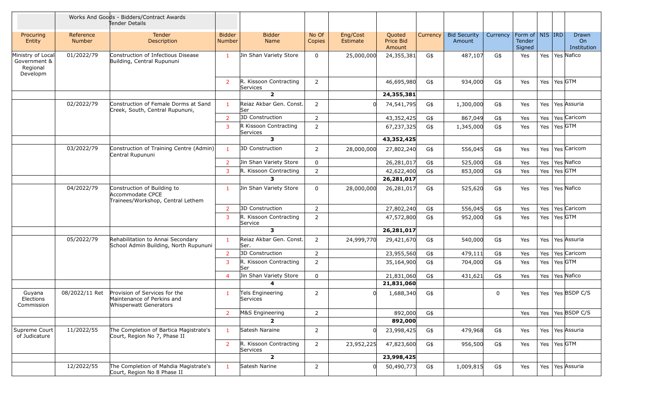|                                                           |                            | Works And Goods - Bidders/Contract Awards<br>Tender Details                                  |                                |                                    |                 |                      |                               |          |                               |          |                                                |         |                            |
|-----------------------------------------------------------|----------------------------|----------------------------------------------------------------------------------------------|--------------------------------|------------------------------------|-----------------|----------------------|-------------------------------|----------|-------------------------------|----------|------------------------------------------------|---------|----------------------------|
| Procuring<br>Entity                                       | Reference<br><b>Number</b> | <b>Tender</b><br>Description                                                                 | <b>Bidder</b><br><b>Number</b> | <b>Bidder</b><br>Name              | No Of<br>Copies | Eng/Cost<br>Estimate | Quoted<br>Price Bid<br>Amount | Currency | <b>Bid Security</b><br>Amount | Currency | Form of   NIS   IRD<br><b>Tender</b><br>Signed |         | Drawn<br>On<br>Institution |
| Ministry of Local<br>Government &<br>Regional<br>Developm | 01/2022/79                 | Construction of Infectious Disease<br>Building, Central Rupununi                             | 1                              | Jin Shan Variety Store             | 0               | 25,000,000           | 24,355,381                    | G\$      | 487,107                       | G\$      | Yes                                            |         | Yes   Yes   Nafico         |
|                                                           |                            |                                                                                              | 2                              | R. Kissoon Contracting<br>Services | $\overline{2}$  |                      | 46,695,980                    | G\$      | 934,000                       | G\$      | Yes                                            | Yes     | Yes GTM                    |
|                                                           |                            |                                                                                              |                                | $\overline{2}$                     |                 |                      | 24,355,381                    |          |                               |          |                                                |         |                            |
|                                                           | 02/2022/79                 | Construction of Female Dorms at Sand<br>Creek, South, Central Rupununi,                      | $\mathbf{1}$                   | Reiaz Akbar Gen. Const.<br>lSer    | $\overline{2}$  |                      | 74,541,795                    | G\$      | 1,300,000                     | G\$      | Yes                                            | Yes     | Yes Assuria                |
|                                                           |                            |                                                                                              | $\overline{2}$                 | 3D Construction                    | $\overline{2}$  |                      | 43,352,425                    | G\$      | 867,049                       | G\$      | Yes                                            | Yes     | Yes Caricom                |
|                                                           |                            |                                                                                              | 3                              | R Kissoon Contracting<br>Services  | $\overline{2}$  |                      | 67,237,325                    | G\$      | 1,345,000                     | G\$      | Yes                                            | Yes     | Yes GTM                    |
|                                                           |                            |                                                                                              |                                | 3                                  |                 |                      | 43,352,425                    |          |                               |          |                                                |         |                            |
|                                                           | 03/2022/79                 | Construction of Training Centre (Admin)<br>Central Rupununi                                  | $\mathbf{1}$                   | 3D Construction                    | $\overline{2}$  | 28,000,000           | 27,802,240                    | G\$      | 556,045                       | G\$      | Yes                                            | Yes     | Yes Caricom                |
|                                                           |                            |                                                                                              | $\overline{2}$                 | Jin Shan Variety Store             | 0               |                      | 26,281,017                    | G\$      | 525,000                       | G\$      | Yes                                            | Yes     | Yes Nafico                 |
|                                                           |                            |                                                                                              | $\overline{3}$                 | R. Kissoon Contracting             | $\overline{2}$  |                      | 42,622,400                    | G\$      | 853,000                       | G\$      | Yes                                            | Yes     | Yes GTM                    |
|                                                           |                            |                                                                                              |                                | 3                                  |                 |                      | 26,281,017                    |          |                               |          |                                                |         |                            |
|                                                           | 04/2022/79                 | Construction of Building to<br>Accommodate CPCE<br>Trainees/Workshop, Central Lethem         | 1                              | Jin Shan Variety Store             | $\mathbf 0$     | 28,000,000           | 26,281,017                    | G\$      | 525,620                       | G\$      | Yes                                            | Yes     | Yes Nafico                 |
|                                                           |                            |                                                                                              | $\overline{2}$                 | 3D Construction                    | $\overline{2}$  |                      | 27,802,240                    | G\$      | 556,045                       | G\$      | Yes                                            | Yes     | Yes Caricom                |
|                                                           |                            |                                                                                              | 3                              | R. Kissoon Contracting<br>Service  | $\overline{2}$  |                      | 47,572,800                    | G\$      | 952,000                       | G\$      | Yes                                            | Yes     | Yes $GTM$                  |
|                                                           |                            |                                                                                              |                                | 3                                  |                 |                      | 26,281,017                    |          |                               |          |                                                |         |                            |
|                                                           | 05/2022/79                 | Rehabilitation to Annai Secondary<br>School Admin Building, North Rupununi                   | $\mathbf{1}$                   | Reiaz Akbar Gen. Const.<br>Ser.    | $\overline{2}$  | 24,999,770           | 29,421,670                    | G\$      | 540,000                       | G\$      | Yes                                            | Yes     | Yes Assuria                |
|                                                           |                            |                                                                                              | $\overline{2}$                 | 3D Construction                    | $\overline{2}$  |                      | 23,955,560                    | G\$      | 479,111                       | G\$      | Yes                                            | Yes     | Yes Caricom                |
|                                                           |                            |                                                                                              | 3                              | R. Kissoon Contracting<br>lSer     | $\overline{2}$  |                      | 35,164,900                    | G\$      | 704,000                       | G\$      | Yes                                            | Yes     | Yes GTM                    |
|                                                           |                            |                                                                                              | $\overline{4}$                 | Jin Shan Variety Store             | $\mathbf 0$     |                      | 21,831,060                    | G\$      | 431,621                       | G\$      | Yes                                            | Yes     | Yes Nafico                 |
|                                                           |                            |                                                                                              |                                |                                    |                 |                      | 21,831,060                    |          |                               |          |                                                |         |                            |
| Guyana<br>Elections<br>Commission                         | 08/2022/11 Ret             | Provision of Services for the<br>Maintenance of Perkins and<br><b>Whisperwatt Generators</b> | 1                              | Tels Engineering<br>Services       | $\overline{2}$  |                      | 1,688,340                     | G\$      |                               | 0        | Yes                                            |         | Yes   Yes   BSDP C/S       |
|                                                           |                            |                                                                                              | $\overline{2}$                 | M&S Engineering                    | $\overline{2}$  |                      | 892,000                       | G\$      |                               |          | Yes                                            |         | Yes   Yes   BSDP C/S       |
|                                                           |                            |                                                                                              |                                | $\overline{2}$                     |                 |                      | 892,000                       |          |                               |          |                                                |         |                            |
| Supreme Court<br>of Judicature                            | 11/2022/55                 | The Completion of Bartica Magistrate's<br>Court, Region No 7, Phase II                       | $\mathbf{1}$                   | Satesh Naraine                     | $\overline{2}$  |                      | 23,998,425                    | G\$      | 479,968                       | G\$      | Yes                                            |         | Yes   Yes Assuria          |
|                                                           |                            |                                                                                              | $\overline{2}$                 | R. Kissoon Contracting<br>Services | $\overline{2}$  | 23,952,225           | 47,823,600                    | G\$      | 956,500                       | G\$      | Yes                                            | Yes     | Yes GTM                    |
|                                                           |                            |                                                                                              |                                | $\overline{2}$                     |                 |                      | 23,998,425                    |          |                               |          |                                                |         |                            |
|                                                           | 12/2022/55                 | The Completion of Mahdia Magistrate's<br>Court, Region No 8 Phase II                         | $\mathbf{1}$                   | Satesh Narine                      | $\overline{2}$  |                      | 50,490,773                    | G\$      | 1,009,815                     | G\$      | Yes                                            | Yes $ $ | Yes Assuria                |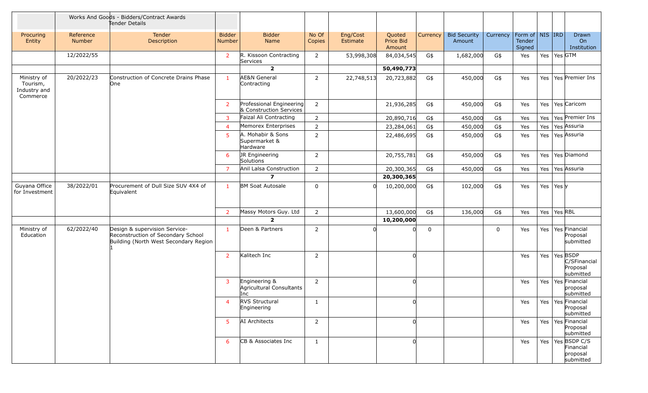|                                                     |                            | Works And Goods - Bidders/Contract Awards<br>Tender Details                                                  |                         |                                                     |                 |                      |                               |             |                               |             |                                         |     |               |                                                            |
|-----------------------------------------------------|----------------------------|--------------------------------------------------------------------------------------------------------------|-------------------------|-----------------------------------------------------|-----------------|----------------------|-------------------------------|-------------|-------------------------------|-------------|-----------------------------------------|-----|---------------|------------------------------------------------------------|
| Procuring<br>Entity                                 | Reference<br><b>Number</b> | Tender<br>Description                                                                                        | <b>Bidder</b><br>Number | <b>Bidder</b><br><b>Name</b>                        | No Of<br>Copies | Eng/Cost<br>Estimate | Quoted<br>Price Bid<br>Amount | Currency    | <b>Bid Security</b><br>Amount | Currency    | Form of   NIS   IRD<br>Tender<br>Signed |     |               | Drawn<br>On<br>Institution                                 |
|                                                     | 12/2022/55                 |                                                                                                              | $\overline{2}$          | R. Kissoon Contracting<br>Services                  | $\overline{2}$  | 53,998,308           | 84,034,545                    | G\$         | 1,682,000                     | G\$         | Yes                                     |     | Yes   Yes GTM |                                                            |
|                                                     |                            |                                                                                                              |                         | $\overline{\mathbf{2}}$                             |                 |                      | 50,490,773                    |             |                               |             |                                         |     |               |                                                            |
| Ministry of<br>Tourism,<br>Industry and<br>Commerce | 20/2022/23                 | Construction of Concrete Drains Phase<br>lOne                                                                | 1                       | <b>AE&amp;N</b> General<br>Contracting              | $\overline{2}$  | 22,748,513           | 20,723,882                    | G\$         | 450,000                       | G\$         | Yes                                     | Yes |               | Yes Premier Ins                                            |
|                                                     |                            |                                                                                                              | $\overline{2}$          | Professional Engineering<br>& Construction Services | $\overline{2}$  |                      | 21,936,285                    | G\$         | 450,000                       | G\$         | Yes                                     | Yes |               | Yes Caricom                                                |
|                                                     |                            |                                                                                                              | 3                       | Faizal Ali Contracting                              | $\overline{2}$  |                      | 20,890,716                    | G\$         | 450,000                       | G\$         | Yes                                     | Yes |               | Yes Premier Ins                                            |
|                                                     |                            |                                                                                                              | $\overline{4}$          | Memorex Enterprises                                 | $\overline{2}$  |                      | 23,284,061                    | G\$         | 450,000                       | G\$         | Yes                                     | Yes |               | Yes Assuria                                                |
|                                                     |                            |                                                                                                              | $5^{\circ}$             | A. Mohabir & Sons<br>Supermarket &<br>Hardware      | $\overline{2}$  |                      | 22,486,695                    | G\$         | 450,000                       | G\$         | Yes                                     | Yes |               | Yes Assuria                                                |
|                                                     |                            |                                                                                                              | 6                       | JR Engineering<br>Solutions                         | $\overline{2}$  |                      | 20,755,781                    | G\$         | 450,000                       | G\$         | Yes                                     | Yes |               | Yes Diamond                                                |
|                                                     |                            |                                                                                                              | $\overline{7}$          | Anil Lalsa Construction                             | $\overline{2}$  |                      | 20,300,365                    | G\$         | 450,000                       | G\$         | Yes                                     | Yes |               | Yes Assuria                                                |
|                                                     |                            |                                                                                                              |                         | $\boldsymbol{7}$                                    |                 |                      | 20,300,365                    |             |                               |             |                                         |     |               |                                                            |
| Guyana Office<br>for Investment                     | 38/2022/01                 | Procurement of Dull Size SUV 4X4 of<br>Equivalent                                                            | $\mathbf{1}$            | <b>BM Soat Autosale</b>                             | $\mathbf 0$     |                      | 10,200,000                    | G\$         | 102,000                       | G\$         | Yes                                     | Yes | Yes y         |                                                            |
|                                                     |                            |                                                                                                              | $\overline{2}$          | Massy Motors Guy. Ltd                               | $\overline{2}$  |                      | 13,600,000                    | G\$         | 136,000                       | G\$         | Yes                                     | Yes | Yes RBL       |                                                            |
|                                                     |                            |                                                                                                              |                         | $\overline{2}$                                      |                 |                      | 10,200,000                    |             |                               |             |                                         |     |               |                                                            |
| Ministry of<br>Education                            | 62/2022/40                 | Design & supervision Service-<br>Reconstruction of Secondary School<br>Building (North West Secondary Region | 1                       | Deen & Partners                                     | $\overline{2}$  |                      | 0l                            | $\mathbf 0$ |                               | $\mathbf 0$ | Yes                                     | Yes |               | Yes Financial<br>Proposal<br>submitted                     |
|                                                     |                            |                                                                                                              | $\overline{2}$          | Kalitech Inc                                        | $\overline{2}$  |                      |                               |             |                               |             | Yes                                     | Yes | Yes BSDP      | C/SFinancial<br>Proposal<br>submitted                      |
|                                                     |                            |                                                                                                              | 3                       | Engineering &<br>Agricultural Consultants<br>Inc    | $\overline{2}$  |                      | ŋ                             |             |                               |             | Yes                                     | Yes |               | Yes Financial<br>proposal<br>submitted                     |
|                                                     |                            |                                                                                                              | $\overline{4}$          | <b>RVS Structural</b><br>Engineering                | 1               |                      | 0l                            |             |                               |             | Yes                                     |     |               | Yes   Yes   Financial<br>Proposal<br>submitted             |
|                                                     |                            |                                                                                                              | $5^{\circ}$             | AI Architects                                       | $\overline{2}$  |                      | $\Omega$                      |             |                               |             | Yes                                     |     |               | Yes   Yes   Financial<br>Proposal<br>submitted             |
|                                                     |                            |                                                                                                              | 6                       | CB & Associates Inc                                 | $\mathbf{1}$    |                      | $\Omega$                      |             |                               |             | Yes                                     |     |               | Yes   Yes   BSDP C/S<br>Financial<br>proposal<br>submitted |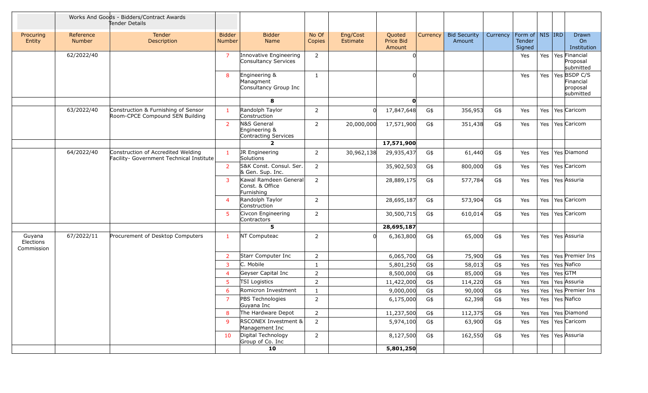|                                   |                            | Works And Goods - Bidders/Contract Awards<br>Tender Details                    |                         |                                                        |                 |                             |                               |          |                               |          |                                                     |     |         |                                                    |
|-----------------------------------|----------------------------|--------------------------------------------------------------------------------|-------------------------|--------------------------------------------------------|-----------------|-----------------------------|-------------------------------|----------|-------------------------------|----------|-----------------------------------------------------|-----|---------|----------------------------------------------------|
| Procuring<br>Entity               | Reference<br><b>Number</b> | <b>Tender</b><br>Description                                                   | <b>Bidder</b><br>Number | <b>Bidder</b><br>Name                                  | No Of<br>Copies | Eng/Cost<br><b>Estimate</b> | Quoted<br>Price Bid<br>Amount | Currency | <b>Bid Security</b><br>Amount | Currency | Form of $\vert$ NIS $\vert$ IRD<br>Tender<br>Signed |     |         | <b>Drawn</b><br>On<br>Institution                  |
|                                   | 62/2022/40                 |                                                                                | 7                       | Innovative Engineering<br>Consultancy Services         | $\overline{2}$  |                             |                               |          |                               |          | Yes                                                 |     |         | Yes   Yes   Financial<br>Proposal<br>submitted     |
|                                   |                            |                                                                                | 8                       | Engineering &<br>Managment<br>Consultancy Group Inc    | $\mathbf{1}$    |                             |                               |          |                               |          | Yes                                                 | Yes |         | Yes BSDP C/S<br>Financial<br>proposal<br>submitted |
|                                   |                            |                                                                                |                         | 8                                                      |                 |                             | O                             |          |                               |          |                                                     |     |         |                                                    |
|                                   | 63/2022/40                 | Construction & Furnishing of Sensor<br>Room-CPCE Compound SEN Building         | $\mathbf{1}$            | Randolph Taylor<br>Construction                        | 2               |                             | 17,847,648                    | G\$      | 356,953                       | G\$      | Yes                                                 | Yes |         | Yes Caricom                                        |
|                                   |                            |                                                                                | 2                       | N&S General<br>Engineering &<br>Contracting Services   | 2               | 20,000,000                  | 17,571,900                    | G\$      | 351,438                       | G\$      | Yes                                                 |     |         | Yes   Yes   Caricom                                |
|                                   |                            |                                                                                |                         | $\mathbf{2}$                                           |                 |                             | 17,571,900                    |          |                               |          |                                                     |     |         |                                                    |
|                                   | 64/2022/40                 | Construction of Accredited Welding<br>Facility- Government Technical Institute | $\mathbf{1}$            | JR Engineering<br>Solutions                            | 2               | 30,962,138                  | 29,935,437                    | G\$      | 61,440                        | G\$      | Yes                                                 | Yes |         | Yes Diamond                                        |
|                                   |                            |                                                                                | $\overline{2}$          | S&K Const. Consul. Ser.<br>& Gen. Sup. Inc.            | 2               |                             | 35,902,503                    | G\$      | 800,000                       | G\$      | Yes                                                 | Yes |         | Yes Caricom                                        |
|                                   |                            |                                                                                | 3                       | Kawal Ramdeen General<br>Const. & Office<br>Furnishing | $\overline{2}$  |                             | 28,889,175                    | G\$      | 577,784                       | G\$      | Yes                                                 | Yes |         | Yes Assuria                                        |
|                                   |                            |                                                                                | $\overline{4}$          | Randolph Taylor<br>Construction                        | 2               |                             | 28,695,187                    | G\$      | 573,904                       | G\$      | Yes                                                 | Yes |         | Yes Caricom                                        |
|                                   |                            |                                                                                | 5                       | Civcon Engineering<br>Contractors                      | 2               |                             | 30,500,715                    | G\$      | 610,014                       | G\$      | Yes                                                 | Yes |         | Yes Caricom                                        |
|                                   |                            |                                                                                |                         | 5                                                      |                 |                             | 28,695,187                    |          |                               |          |                                                     |     |         |                                                    |
| Guyana<br>Elections<br>Commission | 67/2022/11                 | Procurement of Desktop Computers                                               | $\mathbf{1}$            | NT Computeac                                           | 2               |                             | 6,363,800                     | G\$      | 65,000                        | G\$      | Yes                                                 | Yes |         | Yes Assuria                                        |
|                                   |                            |                                                                                | 2                       | Starr Computer Inc                                     | $\overline{2}$  |                             | 6,065,700                     | G\$      | 75,900                        | G\$      | Yes                                                 | Yes |         | Yes Premier Ins                                    |
|                                   |                            |                                                                                | 3                       | C. Mobile                                              | $\mathbf{1}$    |                             | 5,801,250                     | G\$      | 58,013                        | G\$      | Yes                                                 | Yes |         | Yes Nafico                                         |
|                                   |                            |                                                                                | 4                       | Geyser Capital Inc                                     | $\overline{2}$  |                             | 8,500,000                     | G\$      | 85,000                        | $G\$     | Yes                                                 | Yes | Yes GTM |                                                    |
|                                   |                            |                                                                                | 5                       | <b>TSI Logistics</b>                                   | 2               |                             | 11,422,000                    | G\$      | 114,220                       | G\$      | Yes                                                 | Yes |         | Yes Assuria                                        |
|                                   |                            |                                                                                | 6                       | Romicron Investment                                    | 1               |                             | 9,000,000                     | G\$      | 90,000                        | G\$      | Yes                                                 | Yes |         | Yes Premier Ins                                    |
|                                   |                            |                                                                                | $\overline{7}$          | PBS Technologies<br>Guyana Inc                         | $\overline{2}$  |                             | 6, 175, 000                   | G\$      | 62,398                        | $G\$     | Yes                                                 |     |         | Yes   Yes   Nafico                                 |
|                                   |                            |                                                                                | 8                       | The Hardware Depot                                     | 2               |                             | 11,237,500                    | G\$      | 112,375                       | G\$      | Yes                                                 |     |         | Yes   Yes   Diamond                                |
|                                   |                            |                                                                                | 9                       | <b>RSCONEX Investment &amp;</b><br>Management Inc      | $\overline{2}$  |                             | 5,974,100                     | G\$      | 63,900                        | G\$      | Yes                                                 |     |         | Yes   Yes   Caricom                                |
|                                   |                            |                                                                                | 10                      | Digital Technology<br>Group of Co. Inc                 | $\overline{2}$  |                             | 8,127,500                     | G\$      | 162,550                       | G\$      | Yes                                                 |     |         | Yes   Yes Assuria                                  |
|                                   |                            |                                                                                |                         | 10                                                     |                 |                             | 5,801,250                     |          |                               |          |                                                     |     |         |                                                    |